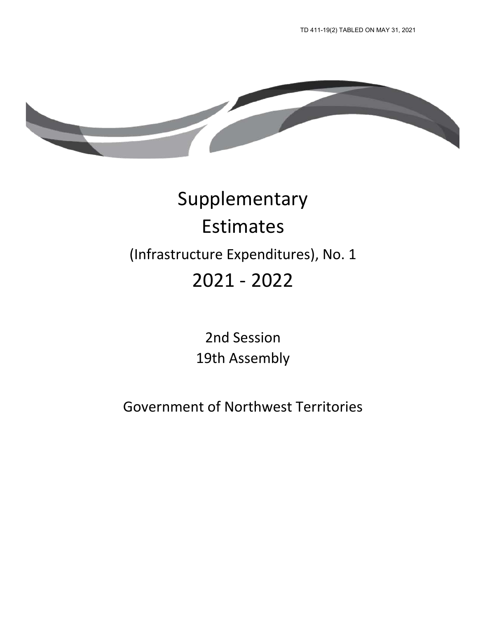

# Supplementary Estimates (Infrastructure Expenditures), No. 1 2021 - 2022

2nd Session 19th Assembly

Government of Northwest Territories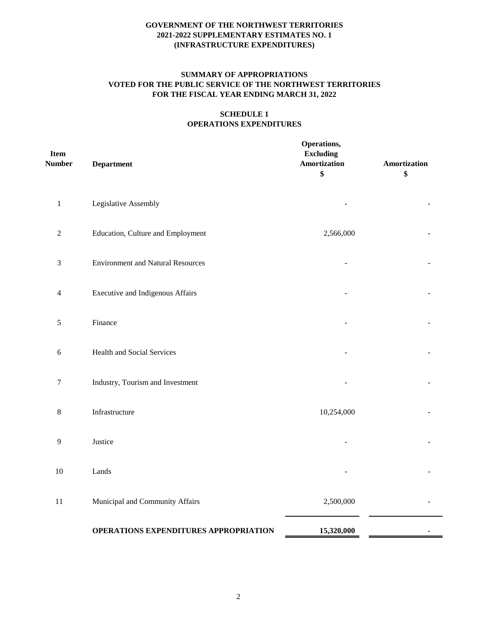# **SUMMARY OF APPROPRIATIONS VOTED FOR THE PUBLIC SERVICE OF THE NORTHWEST TERRITORIES FOR THE FISCAL YEAR ENDING MARCH 31, 2022**

## **SCHEDULE 1 OPERATIONS EXPENDITURES**

| <b>Item</b><br><b>Number</b> | <b>Department</b>                        | Operations,<br><b>Excluding</b><br><b>Amortization</b><br>\$ | Amortization<br>\$ |
|------------------------------|------------------------------------------|--------------------------------------------------------------|--------------------|
| $\mathbf{1}$                 | Legislative Assembly                     |                                                              |                    |
| $\mathfrak 2$                | Education, Culture and Employment        | 2,566,000                                                    |                    |
| 3                            | <b>Environment and Natural Resources</b> |                                                              |                    |
| $\overline{4}$               | <b>Executive and Indigenous Affairs</b>  |                                                              |                    |
| $\sqrt{5}$                   | Finance                                  |                                                              |                    |
| 6                            | Health and Social Services               |                                                              |                    |
| 7                            | Industry, Tourism and Investment         |                                                              |                    |
| $\,8\,$                      | Infrastructure                           | 10,254,000                                                   |                    |
| 9                            | Justice                                  |                                                              |                    |
| 10                           | Lands                                    |                                                              |                    |
| 11                           | Municipal and Community Affairs          | 2,500,000                                                    |                    |
|                              | OPERATIONS EXPENDITURES APPROPRIATION    | 15,320,000                                                   |                    |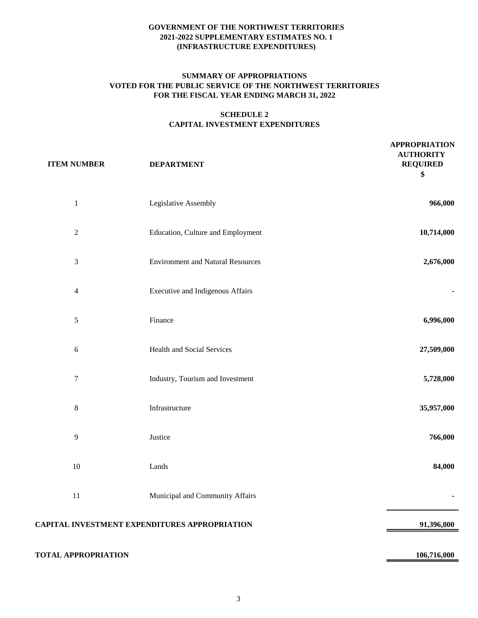## **SUMMARY OF APPROPRIATIONS VOTED FOR THE PUBLIC SERVICE OF THE NORTHWEST TERRITORIES FOR THE FISCAL YEAR ENDING MARCH 31, 2022**

## **SCHEDULE 2 CAPITAL INVESTMENT EXPENDITURES**

 **APPROPRIATION** 

| <b>ITEM NUMBER</b>          | <b>DEPARTMENT</b>                                    | <b>AUTHORITY</b><br><b>REQUIRED</b><br>\$ |
|-----------------------------|------------------------------------------------------|-------------------------------------------|
| $\mathbf{1}$                | Legislative Assembly                                 | 966,000                                   |
| $\sqrt{2}$                  | Education, Culture and Employment                    | 10,714,000                                |
| $\ensuremath{\mathfrak{Z}}$ | <b>Environment and Natural Resources</b>             | 2,676,000                                 |
| $\overline{4}$              | Executive and Indigenous Affairs                     |                                           |
| $\mathfrak s$               | Finance                                              | 6,996,000                                 |
| $\sqrt{6}$                  | <b>Health and Social Services</b>                    | 27,509,000                                |
| $\boldsymbol{7}$            | Industry, Tourism and Investment                     | 5,728,000                                 |
| 8                           | Infrastructure                                       | 35,957,000                                |
| $\overline{9}$              | Justice                                              | 766,000                                   |
| $10\,$                      | Lands                                                | 84,000                                    |
| 11                          | Municipal and Community Affairs                      | ٠                                         |
|                             | <b>CAPITAL INVESTMENT EXPENDITURES APPROPRIATION</b> | 91,396,000                                |
| <b>TOTAL APPROPRIATION</b>  |                                                      | 106,716,000                               |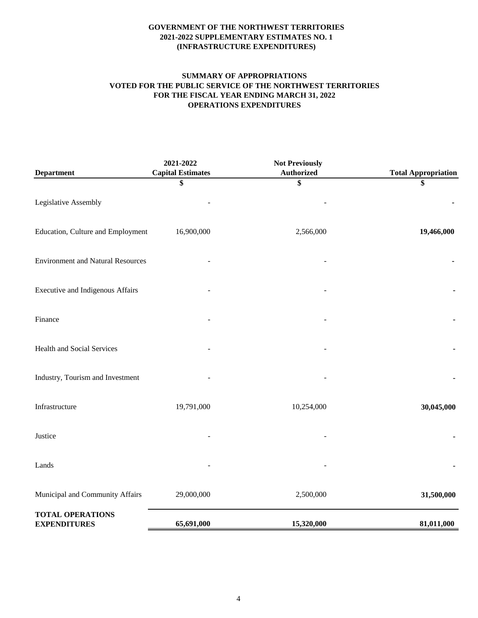# **SUMMARY OF APPROPRIATIONS VOTED FOR THE PUBLIC SERVICE OF THE NORTHWEST TERRITORIES FOR THE FISCAL YEAR ENDING MARCH 31, 2022 OPERATIONS EXPENDITURES**

| <b>Department</b>                              | 2021-2022<br><b>Capital Estimates</b> | <b>Not Previously</b><br><b>Authorized</b> | <b>Total Appropriation</b> |
|------------------------------------------------|---------------------------------------|--------------------------------------------|----------------------------|
|                                                | \$                                    | \$                                         | \$                         |
| Legislative Assembly                           |                                       |                                            |                            |
| Education, Culture and Employment              | 16,900,000                            | 2,566,000                                  | 19,466,000                 |
| <b>Environment and Natural Resources</b>       |                                       |                                            |                            |
| Executive and Indigenous Affairs               |                                       |                                            |                            |
| Finance                                        |                                       |                                            |                            |
| Health and Social Services                     |                                       |                                            |                            |
| Industry, Tourism and Investment               |                                       |                                            |                            |
| Infrastructure                                 | 19,791,000                            | 10,254,000                                 | 30,045,000                 |
| Justice                                        |                                       |                                            |                            |
| Lands                                          |                                       |                                            |                            |
| Municipal and Community Affairs                | 29,000,000                            | 2,500,000                                  | 31,500,000                 |
| <b>TOTAL OPERATIONS</b><br><b>EXPENDITURES</b> | 65,691,000                            | 15,320,000                                 | 81,011,000                 |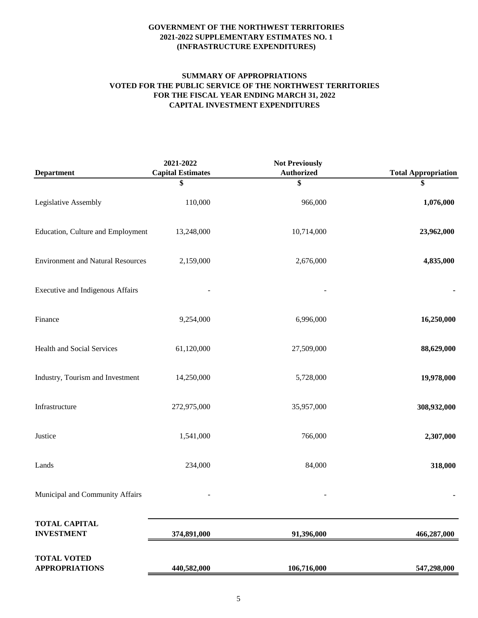## **SUMMARY OF APPROPRIATIONS VOTED FOR THE PUBLIC SERVICE OF THE NORTHWEST TERRITORIES FOR THE FISCAL YEAR ENDING MARCH 31, 2022 CAPITAL INVESTMENT EXPENDITURES**

| <b>Department</b>                           | 2021-2022<br><b>Capital Estimates</b> | <b>Not Previously</b><br><b>Authorized</b> | <b>Total Appropriation</b> |
|---------------------------------------------|---------------------------------------|--------------------------------------------|----------------------------|
|                                             | \$                                    | \$                                         | \$                         |
| Legislative Assembly                        | 110,000                               | 966,000                                    | 1,076,000                  |
| Education, Culture and Employment           | 13,248,000                            | 10,714,000                                 | 23,962,000                 |
| <b>Environment and Natural Resources</b>    | 2,159,000                             | 2,676,000                                  | 4,835,000                  |
| Executive and Indigenous Affairs            |                                       |                                            |                            |
| Finance                                     | 9,254,000                             | 6,996,000                                  | 16,250,000                 |
| Health and Social Services                  | 61,120,000                            | 27,509,000                                 | 88,629,000                 |
| Industry, Tourism and Investment            | 14,250,000                            | 5,728,000                                  | 19,978,000                 |
| Infrastructure                              | 272,975,000                           | 35,957,000                                 | 308,932,000                |
| Justice                                     | 1,541,000                             | 766,000                                    | 2,307,000                  |
| Lands                                       | 234,000                               | 84,000                                     | 318,000                    |
| Municipal and Community Affairs             |                                       |                                            |                            |
| <b>TOTAL CAPITAL</b><br><b>INVESTMENT</b>   | 374,891,000                           | 91,396,000                                 | 466,287,000                |
| <b>TOTAL VOTED</b><br><b>APPROPRIATIONS</b> |                                       | 106,716,000                                |                            |
|                                             | 440,582,000                           |                                            | 547,298,000                |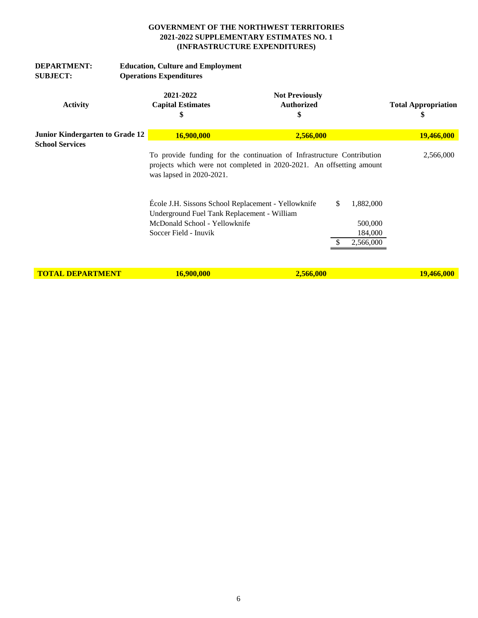| <b>DEPARTMENT:</b><br><b>SUBJECT:</b>                     | <b>Education, Culture and Employment</b><br><b>Operations Expenditures</b>                                                                                                 |                                                                                                    |                    |                                  |
|-----------------------------------------------------------|----------------------------------------------------------------------------------------------------------------------------------------------------------------------------|----------------------------------------------------------------------------------------------------|--------------------|----------------------------------|
| <b>Activity</b>                                           | 2021-2022<br><b>Capital Estimates</b><br>\$                                                                                                                                | <b>Not Previously</b><br><b>Authorized</b><br>\$                                                   |                    | <b>Total Appropriation</b><br>\$ |
| Junior Kindergarten to Grade 12<br><b>School Services</b> | 16,900,000                                                                                                                                                                 | 2,566,000                                                                                          |                    | 19,466,000                       |
|                                                           | To provide funding for the continuation of Infrastructure Contribution<br>projects which were not completed in 2020-2021. An offsetting amount<br>was lapsed in 2020-2021. |                                                                                                    |                    | 2,566,000                        |
|                                                           |                                                                                                                                                                            | École J.H. Sissons School Replacement - Yellowknife<br>Underground Fuel Tank Replacement - William | \$<br>1,882,000    |                                  |
|                                                           | McDonald School - Yellowknife<br>Soccer Field - Inuvik                                                                                                                     |                                                                                                    | 500,000<br>184,000 |                                  |
|                                                           |                                                                                                                                                                            |                                                                                                    | 2,566,000          |                                  |
| <b>TOTAL DEPARTMENT</b>                                   | 16,900,000                                                                                                                                                                 | 2,566,000                                                                                          |                    | 19,466,000                       |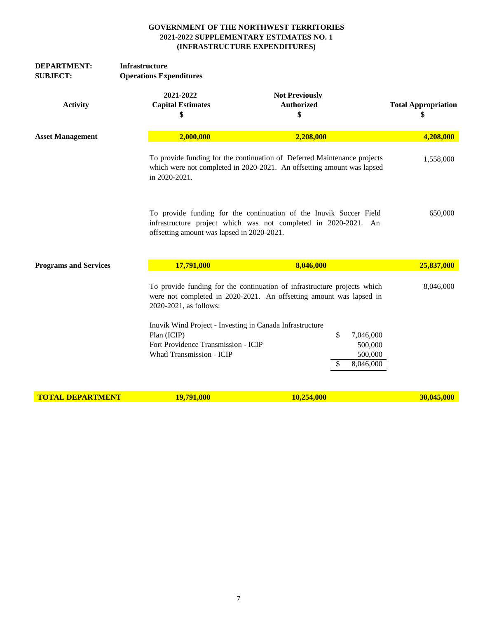| <b>DEPARTMENT:</b><br><b>SUBJECT:</b> | <b>Infrastructure</b><br><b>Operations Expenditures</b>                                                                                     |                                                                                                                                                    |                                  |
|---------------------------------------|---------------------------------------------------------------------------------------------------------------------------------------------|----------------------------------------------------------------------------------------------------------------------------------------------------|----------------------------------|
| <b>Activity</b>                       | 2021-2022<br><b>Capital Estimates</b><br>\$                                                                                                 | <b>Not Previously</b><br><b>Authorized</b><br>\$                                                                                                   | <b>Total Appropriation</b><br>\$ |
| <b>Asset Management</b>               | 2,000,000                                                                                                                                   | 2,208,000                                                                                                                                          | 4,208,000                        |
|                                       | in 2020-2021.                                                                                                                               | To provide funding for the continuation of Deferred Maintenance projects<br>which were not completed in 2020-2021. An offsetting amount was lapsed | 1,558,000                        |
|                                       | offsetting amount was lapsed in 2020-2021.                                                                                                  | To provide funding for the continuation of the Inuvik Soccer Field<br>infrastructure project which was not completed in 2020-2021. An              | 650,000                          |
| <b>Programs and Services</b>          | 17,791,000                                                                                                                                  | 8,046,000                                                                                                                                          | 25,837,000                       |
|                                       | 2020-2021, as follows:                                                                                                                      | To provide funding for the continuation of infrastructure projects which<br>were not completed in 2020-2021. An offsetting amount was lapsed in    | 8,046,000                        |
|                                       | Inuvik Wind Project - Investing in Canada Infrastructure<br>Plan (ICIP)<br>Fort Providence Transmission - ICIP<br>Whati Transmission - ICIP | \$<br>7,046,000<br>500,000<br>500,000<br>8,046,000<br>S                                                                                            |                                  |
| <b>TOTAL DEPARTMENT</b>               | 19,791,000                                                                                                                                  | 10,254,000                                                                                                                                         | 30,045,000                       |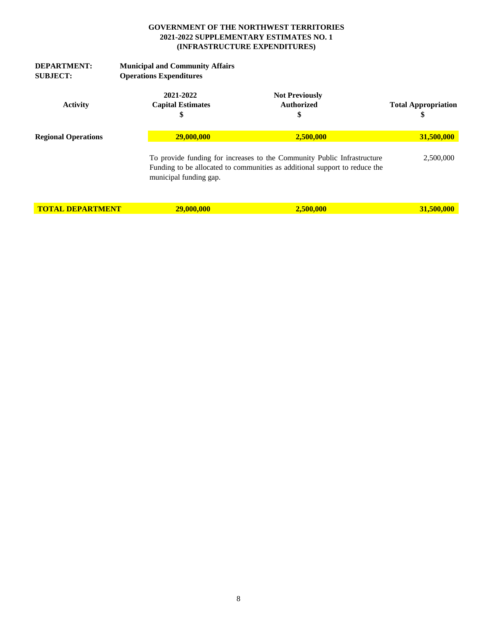| <b>DEPARTMENT:</b><br><b>SUBJECT:</b> | <b>Municipal and Community Affairs</b><br><b>Operations Expenditures</b> |                                                                                                                                                       |                                  |  |  |  |
|---------------------------------------|--------------------------------------------------------------------------|-------------------------------------------------------------------------------------------------------------------------------------------------------|----------------------------------|--|--|--|
| <b>Activity</b>                       | 2021-2022<br><b>Capital Estimates</b><br>S                               | <b>Not Previously</b><br><b>Authorized</b><br>\$                                                                                                      | <b>Total Appropriation</b><br>\$ |  |  |  |
| <b>Regional Operations</b>            | 29,000,000                                                               | 2.500.000                                                                                                                                             | 31,500,000                       |  |  |  |
|                                       | municipal funding gap.                                                   | To provide funding for increases to the Community Public Infrastructure<br>Funding to be allocated to communities as additional support to reduce the | 2,500,000                        |  |  |  |
| <b>TOTAL DEPARTMENT</b>               | 29,000,000                                                               | 2,500,000                                                                                                                                             | 31,500,000                       |  |  |  |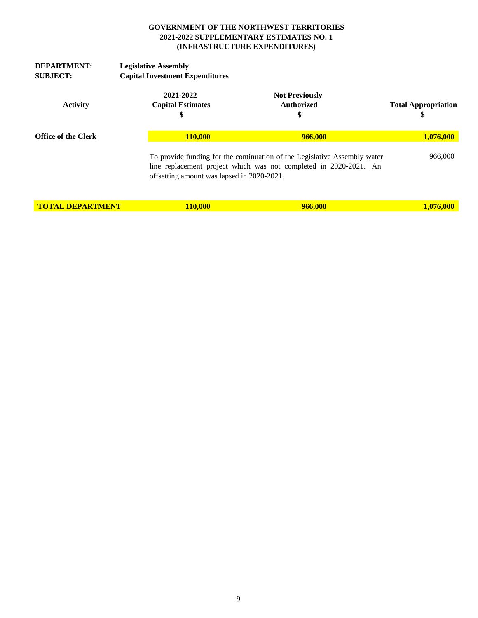| <b>DEPARTMENT:</b><br><b>SUBJECT:</b> | <b>Legislative Assembly</b><br><b>Capital Investment Expenditures</b> |                                                                                                                                                                                              |                                                  |                                  |
|---------------------------------------|-----------------------------------------------------------------------|----------------------------------------------------------------------------------------------------------------------------------------------------------------------------------------------|--------------------------------------------------|----------------------------------|
| <b>Activity</b>                       | 2021-2022<br><b>Capital Estimates</b><br>\$                           |                                                                                                                                                                                              | <b>Not Previously</b><br><b>Authorized</b><br>\$ | <b>Total Appropriation</b><br>\$ |
| <b>Office of the Clerk</b>            |                                                                       | 110.000                                                                                                                                                                                      | 966,000                                          | 1,076,000                        |
|                                       |                                                                       | To provide funding for the continuation of the Legislative Assembly water<br>line replacement project which was not completed in 2020-2021. An<br>offsetting amount was lapsed in 2020-2021. |                                                  | 966,000                          |
| <b>TOTAL DEPARTMENT</b>               |                                                                       | <b>110,000</b>                                                                                                                                                                               | 966,000                                          | 1,076,000                        |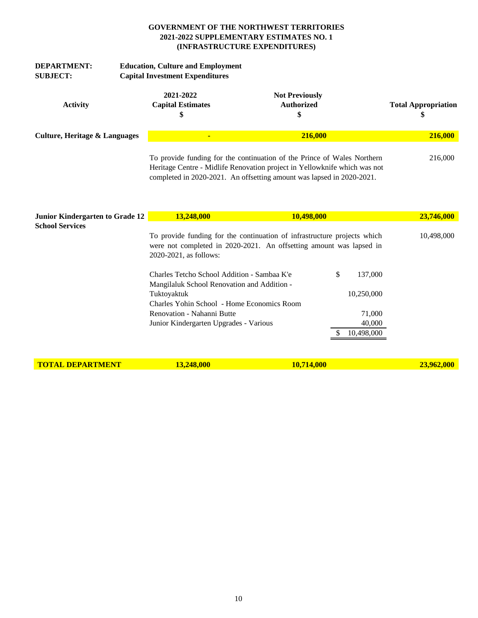| <b>DEPARTMENT:</b><br><b>SUBJECT:</b> | <b>Education, Culture and Employment</b><br><b>Capital Investment Expenditures</b> |                                                                                                                                                                                                                               |                            |
|---------------------------------------|------------------------------------------------------------------------------------|-------------------------------------------------------------------------------------------------------------------------------------------------------------------------------------------------------------------------------|----------------------------|
| <b>Activity</b>                       | 2021-2022<br><b>Capital Estimates</b><br>\$                                        | <b>Not Previously</b><br><b>Authorized</b><br>\$                                                                                                                                                                              | <b>Total Appropriation</b> |
| Culture, Heritage & Languages         | $\blacksquare$                                                                     | 216,000                                                                                                                                                                                                                       | 216,000                    |
|                                       |                                                                                    | To provide funding for the continuation of the Prince of Wales Northern<br>Heritage Centre - Midlife Renovation project in Yellowknife which was not<br>completed in 2020-2021. An offsetting amount was lapsed in 2020-2021. | 216,000                    |

| Junior Kindergarten to Grade 12 | 13.248.000                                                                                 | <b>10,498,000</b>                                                                                                                               |               | <b>23,746,000</b> |
|---------------------------------|--------------------------------------------------------------------------------------------|-------------------------------------------------------------------------------------------------------------------------------------------------|---------------|-------------------|
| <b>School Services</b>          |                                                                                            |                                                                                                                                                 |               |                   |
|                                 | 2020-2021, as follows:                                                                     | To provide funding for the continuation of infrastructure projects which<br>were not completed in 2020-2021. An offsetting amount was lapsed in |               | 10,498,000        |
|                                 | Charles Tetcho School Addition - Sambaa K'e<br>Mangilaluk School Renovation and Addition - |                                                                                                                                                 | \$<br>137,000 |                   |
|                                 | Tuktoyaktuk                                                                                |                                                                                                                                                 | 10,250,000    |                   |
|                                 | Charles Yohin School - Home Economics Room                                                 |                                                                                                                                                 |               |                   |
|                                 | Renovation - Nahanni Butte                                                                 |                                                                                                                                                 | 71,000        |                   |
|                                 | Junior Kindergarten Upgrades - Various                                                     |                                                                                                                                                 | 40,000        |                   |
|                                 |                                                                                            |                                                                                                                                                 | 10,498,000    |                   |
|                                 |                                                                                            |                                                                                                                                                 |               |                   |
| <b>TOTAL DEPARTMENT</b>         | 13,248,000                                                                                 | 10,714,000                                                                                                                                      |               | 23,962,000        |
|                                 |                                                                                            |                                                                                                                                                 |               |                   |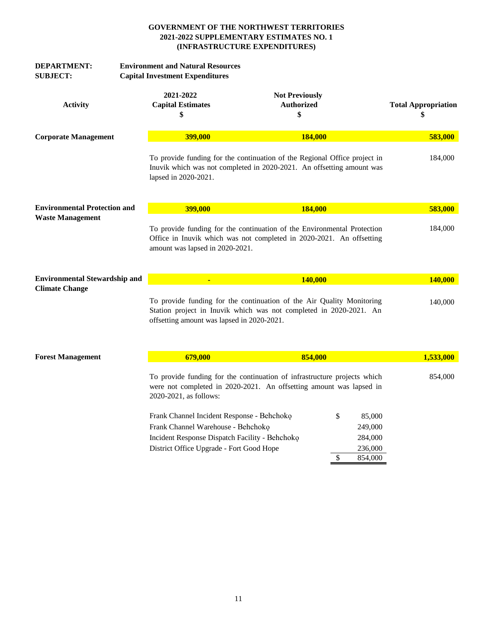| <b>DEPARTMENT:</b><br><b>SUBJECT:</b> | <b>Environment and Natural Resources</b><br><b>Capital Investment Expenditures</b> |                                                                                                                                                                                |                                                                                                                                                    |                                               |                                  |
|---------------------------------------|------------------------------------------------------------------------------------|--------------------------------------------------------------------------------------------------------------------------------------------------------------------------------|----------------------------------------------------------------------------------------------------------------------------------------------------|-----------------------------------------------|----------------------------------|
| <b>Activity</b>                       | 2021-2022<br><b>Capital Estimates</b><br>\$                                        |                                                                                                                                                                                | <b>Not Previously</b><br>Authorized<br>\$                                                                                                          |                                               | <b>Total Appropriation</b><br>\$ |
| <b>Corporate Management</b>           |                                                                                    | 399,000                                                                                                                                                                        | 184,000                                                                                                                                            |                                               | 583,000                          |
|                                       | lapsed in 2020-2021.                                                               |                                                                                                                                                                                | To provide funding for the continuation of the Regional Office project in<br>Inuvik which was not completed in 2020-2021. An offsetting amount was |                                               | 184,000                          |
| <b>Environmental Protection and</b>   |                                                                                    | 399,000                                                                                                                                                                        | 184,000                                                                                                                                            |                                               | 583,000                          |
| <b>Waste Management</b>               |                                                                                    | amount was lapsed in 2020-2021.                                                                                                                                                | To provide funding for the continuation of the Environmental Protection<br>Office in Inuvik which was not completed in 2020-2021. An offsetting    |                                               | 184,000                          |
| <b>Environmental Stewardship and</b>  |                                                                                    | $\blacksquare$                                                                                                                                                                 | 140,000                                                                                                                                            |                                               | 140,000                          |
| <b>Climate Change</b>                 |                                                                                    | offsetting amount was lapsed in 2020-2021.                                                                                                                                     | To provide funding for the continuation of the Air Quality Monitoring<br>Station project in Inuvik which was not completed in 2020-2021. An        |                                               | 140,000                          |
| <b>Forest Management</b>              |                                                                                    | 679,000                                                                                                                                                                        | 854,000                                                                                                                                            |                                               | 1,533,000                        |
|                                       | 2020-2021, as follows:                                                             |                                                                                                                                                                                | To provide funding for the continuation of infrastructure projects which<br>were not completed in 2020-2021. An offsetting amount was lapsed in    |                                               | 854,000                          |
|                                       |                                                                                    | Frank Channel Incident Response - Behchoko<br>Frank Channel Warehouse - Behchoko<br>Incident Response Dispatch Facility - Behchoko<br>District Office Upgrade - Fort Good Hope |                                                                                                                                                    | \$<br>85,000<br>249,000<br>284,000<br>236,000 |                                  |
|                                       |                                                                                    |                                                                                                                                                                                |                                                                                                                                                    | \$<br>854,000                                 |                                  |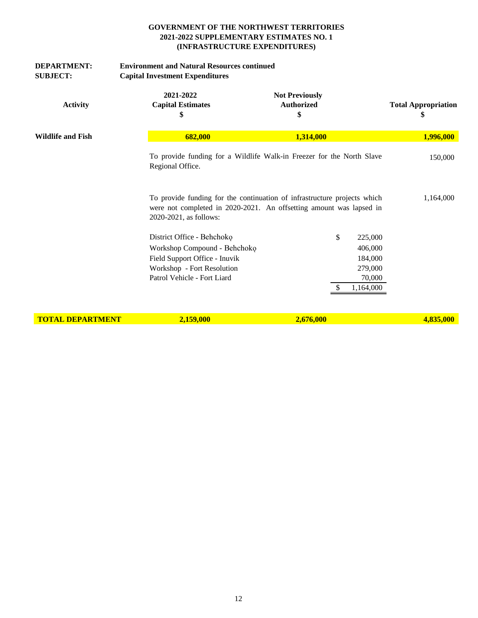| <b>DEPARTMENT:</b><br><b>SUBJECT:</b> | <b>Environment and Natural Resources continued</b><br><b>Capital Investment Expenditures</b>                                                             |                                                                                                                                                 |                                  |
|---------------------------------------|----------------------------------------------------------------------------------------------------------------------------------------------------------|-------------------------------------------------------------------------------------------------------------------------------------------------|----------------------------------|
| <b>Activity</b>                       | 2021-2022<br><b>Capital Estimates</b><br>\$                                                                                                              | <b>Not Previously</b><br><b>Authorized</b><br>\$                                                                                                | <b>Total Appropriation</b><br>\$ |
| <b>Wildlife and Fish</b>              | 682,000                                                                                                                                                  | 1,314,000                                                                                                                                       | 1,996,000                        |
|                                       | Regional Office.                                                                                                                                         | To provide funding for a Wildlife Walk-in Freezer for the North Slave                                                                           | 150,000                          |
|                                       | 2020-2021, as follows:                                                                                                                                   | To provide funding for the continuation of infrastructure projects which<br>were not completed in 2020-2021. An offsetting amount was lapsed in | 1,164,000                        |
|                                       | District Office - Behchoko<br>Workshop Compound - Behchoko<br>Field Support Office - Inuvik<br>Workshop - Fort Resolution<br>Patrol Vehicle - Fort Liard | \$<br>225,000<br>406,000<br>184,000<br>279,000<br>70,000<br>1,164,000<br>-S                                                                     |                                  |
| <b>TOTAL DEPARTMENT</b>               | 2,159,000                                                                                                                                                | 2,676,000                                                                                                                                       | 4,835,000                        |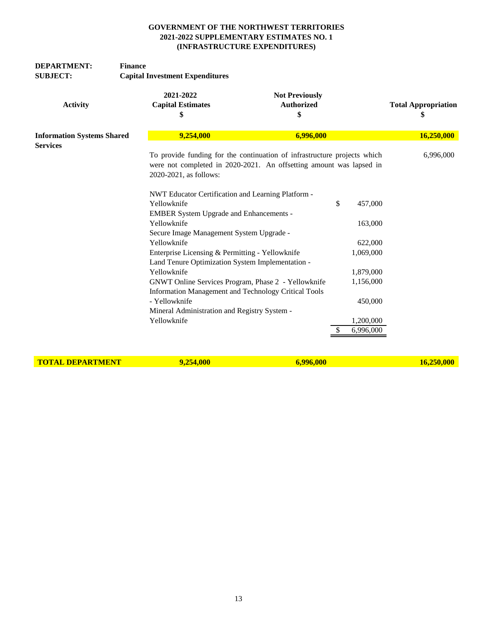| <b>DEPARTMENT:</b><br><b>SUBJECT:</b> | <b>Finance</b><br><b>Capital Investment Expenditures</b> |                                                                                                             |                                  |
|---------------------------------------|----------------------------------------------------------|-------------------------------------------------------------------------------------------------------------|----------------------------------|
| <b>Activity</b>                       | 2021-2022<br><b>Capital Estimates</b><br>\$              | <b>Not Previously</b><br><b>Authorized</b><br>\$                                                            | <b>Total Appropriation</b><br>\$ |
| <b>Information Systems Shared</b>     | 9,254,000                                                | 6,996,000                                                                                                   | 16,250,000                       |
| <b>Services</b>                       |                                                          | To provide funding for the continuation of infrastructure projects which                                    | 6,996,000                        |
|                                       | 2020-2021, as follows:                                   | were not completed in 2020-2021. An offsetting amount was lapsed in                                         |                                  |
|                                       |                                                          | NWT Educator Certification and Learning Platform -                                                          |                                  |
|                                       | Yellowknife                                              | \$<br><b>EMBER System Upgrade and Enhancements -</b>                                                        | 457,000                          |
|                                       | Yellowknife<br>Secure Image Management System Upgrade -  |                                                                                                             | 163,000                          |
|                                       | Yellowknife                                              |                                                                                                             | 622,000                          |
|                                       |                                                          | Enterprise Licensing & Permitting - Yellowknife<br>Land Tenure Optimization System Implementation -         | 1,069,000                        |
|                                       | Yellowknife                                              |                                                                                                             | 1,879,000                        |
|                                       |                                                          | GNWT Online Services Program, Phase 2 - Yellowknife<br>Information Management and Technology Critical Tools | 1,156,000                        |
|                                       | - Yellowknife                                            | Mineral Administration and Registry System -                                                                | 450,000                          |
|                                       | Yellowknife                                              |                                                                                                             | 1,200,000                        |
|                                       |                                                          | S                                                                                                           | 6,996,000                        |

**TOTAL DEPARTMENT 9,254,000 6,996,000 16,250,000**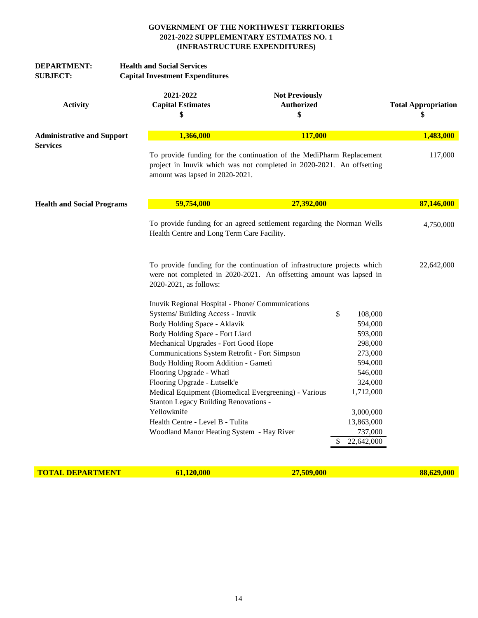| <b>DEPARTMENT:</b><br><b>SUBJECT:</b> | <b>Health and Social Services</b><br><b>Capital Investment Expenditures</b> |                                                  |                                                                                                                                                 |                 |                                  |
|---------------------------------------|-----------------------------------------------------------------------------|--------------------------------------------------|-------------------------------------------------------------------------------------------------------------------------------------------------|-----------------|----------------------------------|
| <b>Activity</b>                       | 2021-2022                                                                   | <b>Capital Estimates</b><br>\$                   | <b>Not Previously</b><br><b>Authorized</b><br>\$                                                                                                |                 | <b>Total Appropriation</b><br>\$ |
| <b>Administrative and Support</b>     |                                                                             | 1,366,000                                        | 117,000                                                                                                                                         |                 | 1,483,000                        |
| <b>Services</b>                       |                                                                             | amount was lapsed in 2020-2021.                  | To provide funding for the continuation of the MediPharm Replacement<br>project in Inuvik which was not completed in 2020-2021. An offsetting   |                 | 117,000                          |
| <b>Health and Social Programs</b>     |                                                                             | 59,754,000                                       | 27,392,000                                                                                                                                      |                 | 87,146,000                       |
|                                       |                                                                             | Health Centre and Long Term Care Facility.       | To provide funding for an agreed settlement regarding the Norman Wells                                                                          |                 | 4,750,000                        |
|                                       |                                                                             | 2020-2021, as follows:                           | To provide funding for the continuation of infrastructure projects which<br>were not completed in 2020-2021. An offsetting amount was lapsed in |                 | 22,642,000                       |
|                                       |                                                                             | Inuvik Regional Hospital - Phone/ Communications |                                                                                                                                                 |                 |                                  |
|                                       |                                                                             | Systems/ Building Access - Inuvik                |                                                                                                                                                 | \$<br>108,000   |                                  |
|                                       |                                                                             | Body Holding Space - Aklavik                     |                                                                                                                                                 | 594,000         |                                  |
|                                       |                                                                             | Body Holding Space - Fort Liard                  |                                                                                                                                                 | 593,000         |                                  |
|                                       |                                                                             | Mechanical Upgrades - Fort Good Hope             |                                                                                                                                                 | 298,000         |                                  |
|                                       |                                                                             | Communications System Retrofit - Fort Simpson    |                                                                                                                                                 | 273,000         |                                  |
|                                       |                                                                             | Body Holding Room Addition - Gametì              |                                                                                                                                                 | 594,000         |                                  |
|                                       |                                                                             | Flooring Upgrade - Whati                         |                                                                                                                                                 | 546,000         |                                  |
|                                       |                                                                             | Flooring Upgrade - Łutselk'e                     |                                                                                                                                                 | 324,000         |                                  |
|                                       |                                                                             | Stanton Legacy Building Renovations -            | Medical Equipment (Biomedical Evergreening) - Various                                                                                           | 1,712,000       |                                  |
|                                       | Yellowknife                                                                 |                                                  |                                                                                                                                                 | 3,000,000       |                                  |
|                                       |                                                                             | Health Centre - Level B - Tulita                 |                                                                                                                                                 | 13,863,000      |                                  |
|                                       |                                                                             | Woodland Manor Heating System - Hay River        |                                                                                                                                                 | 737,000         |                                  |
|                                       |                                                                             |                                                  |                                                                                                                                                 | 22,642,000<br>S |                                  |

**TOTAL DEPARTMENT** 61,120,000 27,509,000 27,509,000 88,629,000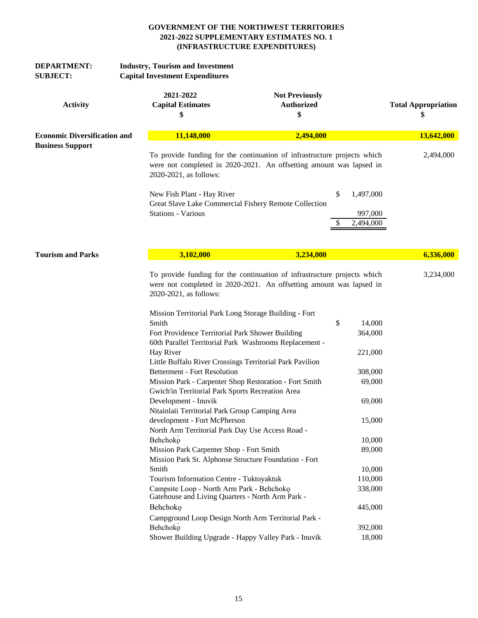| <b>DEPARTMENT:</b><br><b>SUBJECT:</b> | <b>Industry, Tourism and Investment</b><br><b>Capital Investment Expenditures</b>                                                                 |                                                                                                                                                                                                                |                                   |                                  |
|---------------------------------------|---------------------------------------------------------------------------------------------------------------------------------------------------|----------------------------------------------------------------------------------------------------------------------------------------------------------------------------------------------------------------|-----------------------------------|----------------------------------|
| <b>Activity</b>                       | 2021-2022<br><b>Capital Estimates</b><br>\$                                                                                                       | <b>Not Previously</b><br><b>Authorized</b><br>\$                                                                                                                                                               |                                   | <b>Total Appropriation</b><br>\$ |
| <b>Economic Diversification and</b>   | 11,148,000                                                                                                                                        | 2,494,000                                                                                                                                                                                                      |                                   | 13,642,000                       |
| <b>Business Support</b>               | 2020-2021, as follows:<br>New Fish Plant - Hay River<br><b>Stations - Various</b>                                                                 | To provide funding for the continuation of infrastructure projects which<br>were not completed in 2020-2021. An offsetting amount was lapsed in<br>\$<br>Great Slave Lake Commercial Fishery Remote Collection | 1,497,000<br>997,000<br>2,494,000 | 2,494,000                        |
| <b>Tourism and Parks</b>              | 3,102,000                                                                                                                                         | 3,234,000                                                                                                                                                                                                      |                                   | 6,336,000                        |
|                                       | 2020-2021, as follows:                                                                                                                            | To provide funding for the continuation of infrastructure projects which<br>were not completed in 2020-2021. An offsetting amount was lapsed in                                                                |                                   | 3,234,000                        |
|                                       | Mission Territorial Park Long Storage Building - Fort<br>Smith                                                                                    | \$                                                                                                                                                                                                             | 14,000                            |                                  |
|                                       | Fort Providence Territorial Park Shower Building                                                                                                  | 60th Parallel Territorial Park Washrooms Replacement -                                                                                                                                                         | 364,000                           |                                  |
|                                       | Hay River<br>Little Buffalo River Crossings Territorial Park Pavilion                                                                             |                                                                                                                                                                                                                | 221,000                           |                                  |
|                                       | <b>Betterment - Fort Resolution</b><br>Mission Park - Carpenter Shop Restoration - Fort Smith<br>Gwich'in Territorial Park Sports Recreation Area |                                                                                                                                                                                                                | 308,000<br>69,000                 |                                  |
|                                       | Development - Inuvik<br>Nitainlaii Territorial Park Group Camping Area                                                                            |                                                                                                                                                                                                                | 69,000                            |                                  |
|                                       | development - Fort McPherson<br>North Arm Territorial Park Day Use Access Road -                                                                  |                                                                                                                                                                                                                | 15,000                            |                                  |
|                                       | Behchoko                                                                                                                                          |                                                                                                                                                                                                                | 10,000                            |                                  |
|                                       | Mission Park Carpenter Shop - Fort Smith<br>Mission Park St. Alphonse Structure Foundation - Fort                                                 |                                                                                                                                                                                                                | 89,000                            |                                  |
|                                       | Smith                                                                                                                                             |                                                                                                                                                                                                                | 10,000                            |                                  |
|                                       | Tourism Information Centre - Tuktoyaktuk<br>Campsite Loop - North Arm Park - Behchoko<br>Gatehouse and Living Quarters - North Arm Park -         |                                                                                                                                                                                                                | 110,000<br>338,000                |                                  |
|                                       | Behchoko                                                                                                                                          |                                                                                                                                                                                                                | 445,000                           |                                  |
|                                       | Campground Loop Design North Arm Territorial Park -<br>Behchoko                                                                                   |                                                                                                                                                                                                                | 392,000                           |                                  |
|                                       | Shower Building Upgrade - Happy Valley Park - Inuvik                                                                                              |                                                                                                                                                                                                                | 18,000                            |                                  |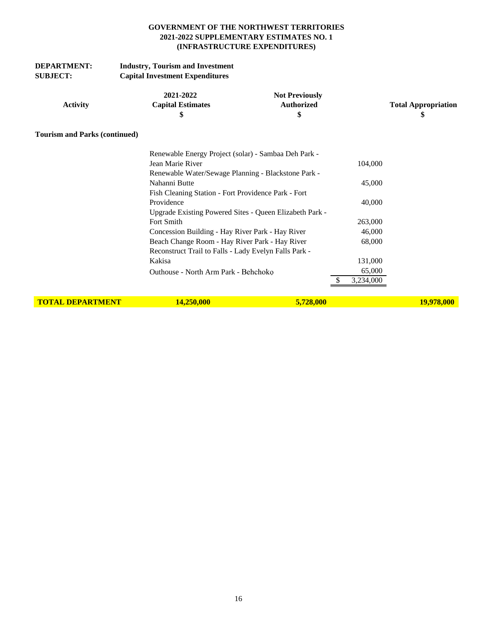| <b>DEPARTMENT:</b> | <b>Industry, Tourism and Investment</b> |
|--------------------|-----------------------------------------|
| <b>SUBJECT:</b>    | <b>Capital Investment Expenditures</b>  |
|                    |                                         |

|          | 2021-2022                | <b>Not Previously</b> |                            |
|----------|--------------------------|-----------------------|----------------------------|
| Activity | <b>Capital Estimates</b> | Authorized            | <b>Total Appropriation</b> |
|          |                          |                       |                            |

## **Tourism and Parks (continued)**

| Renewable Energy Project (solar) - Sambaa Deh Park -    |           |
|---------------------------------------------------------|-----------|
| Jean Marie River                                        | 104,000   |
| Renewable Water/Sewage Planning - Blackstone Park -     |           |
| Nahanni Butte                                           | 45,000    |
| Fish Cleaning Station - Fort Providence Park - Fort     |           |
| Providence                                              | 40,000    |
| Upgrade Existing Powered Sites - Queen Elizabeth Park - |           |
| Fort Smith                                              | 263,000   |
| Concession Building - Hay River Park - Hay River        | 46,000    |
| Beach Change Room - Hay River Park - Hay River          | 68,000    |
| Reconstruct Trail to Falls - Lady Evelyn Falls Park -   |           |
| Kakisa                                                  | 131,000   |
| Outhouse - North Arm Park - Behchoko                    | 65,000    |
|                                                         | 3,234,000 |
|                                                         |           |

**TOTAL DEPARTMENT 14,250,000 19,978,000 19,978,000 19,978,000**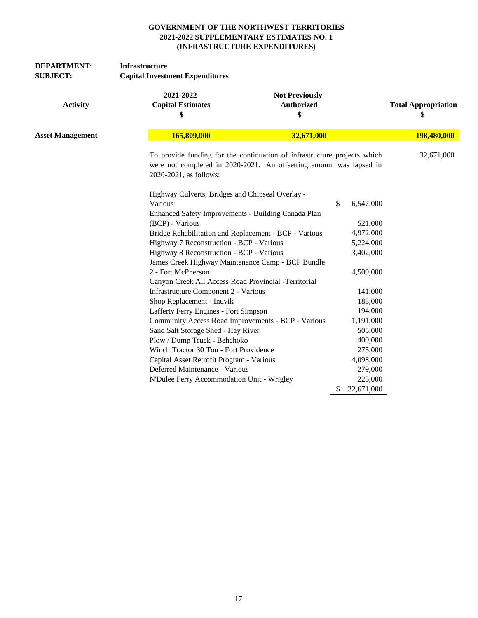| <b>DEPARTMENT:</b><br><b>SUBJECT:</b> | Infrastructure<br><b>Capital Investment Expenditures</b> |                                                                                                                                                 |            |                                  |  |  |
|---------------------------------------|----------------------------------------------------------|-------------------------------------------------------------------------------------------------------------------------------------------------|------------|----------------------------------|--|--|
| <b>Activity</b>                       | 2021-2022<br><b>Capital Estimates</b><br>\$              | <b>Not Previously</b><br><b>Authorized</b><br>\$                                                                                                |            | <b>Total Appropriation</b><br>\$ |  |  |
| <b>Asset Management</b>               | 165,809,000                                              | 32,671,000                                                                                                                                      |            | 198,480,000                      |  |  |
|                                       | 2020-2021, as follows:                                   | To provide funding for the continuation of infrastructure projects which<br>were not completed in 2020-2021. An offsetting amount was lapsed in |            |                                  |  |  |
|                                       | Highway Culverts, Bridges and Chipseal Overlay -         |                                                                                                                                                 |            |                                  |  |  |
|                                       | Various                                                  | \$                                                                                                                                              | 6,547,000  |                                  |  |  |
|                                       | Enhanced Safety Improvements - Building Canada Plan      |                                                                                                                                                 |            |                                  |  |  |
|                                       | (BCP) - Various                                          |                                                                                                                                                 | 521,000    |                                  |  |  |
|                                       | Bridge Rehabilitation and Replacement - BCP - Various    |                                                                                                                                                 | 4,972,000  |                                  |  |  |
|                                       | Highway 7 Reconstruction - BCP - Various                 |                                                                                                                                                 | 5,224,000  |                                  |  |  |
|                                       | Highway 8 Reconstruction - BCP - Various                 |                                                                                                                                                 | 3,402,000  |                                  |  |  |
|                                       | James Creek Highway Maintenance Camp - BCP Bundle        |                                                                                                                                                 |            |                                  |  |  |
|                                       | 2 - Fort McPherson                                       |                                                                                                                                                 | 4,509,000  |                                  |  |  |
|                                       | Canyon Creek All Access Road Provincial -Territorial     |                                                                                                                                                 |            |                                  |  |  |
|                                       | Infrastructure Component 2 - Various                     |                                                                                                                                                 | 141,000    |                                  |  |  |
|                                       | Shop Replacement - Inuvik                                |                                                                                                                                                 | 188,000    |                                  |  |  |
|                                       | Lafferty Ferry Engines - Fort Simpson                    |                                                                                                                                                 | 194,000    |                                  |  |  |
|                                       | Community Access Road Improvements - BCP - Various       |                                                                                                                                                 | 1,191,000  |                                  |  |  |
|                                       | Sand Salt Storage Shed - Hay River                       |                                                                                                                                                 | 505,000    |                                  |  |  |
|                                       | Plow / Dump Truck - Behchoko                             |                                                                                                                                                 | 400,000    |                                  |  |  |
|                                       | Winch Tractor 30 Ton - Fort Providence                   |                                                                                                                                                 | 275,000    |                                  |  |  |
|                                       | Capital Asset Retrofit Program - Various                 |                                                                                                                                                 | 4,098,000  |                                  |  |  |
|                                       | Deferred Maintenance - Various                           |                                                                                                                                                 | 279,000    |                                  |  |  |
|                                       | N'Dulee Ferry Accommodation Unit - Wrigley               |                                                                                                                                                 | 225,000    |                                  |  |  |
|                                       |                                                          | S.                                                                                                                                              | 32,671,000 |                                  |  |  |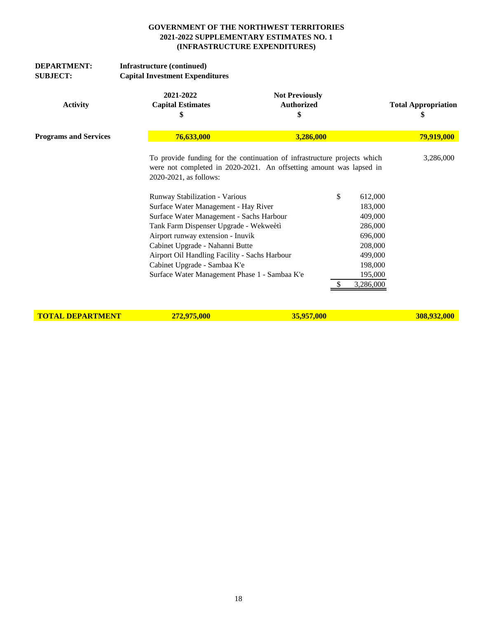| <b>DEPARTMENT:</b><br><b>SUBJECT:</b> | Infrastructure (continued)<br><b>Capital Investment Expenditures</b>                                                                                                                                                                                                                                                                                                                             |                                                                                                                                                       |                                                                                                                           |
|---------------------------------------|--------------------------------------------------------------------------------------------------------------------------------------------------------------------------------------------------------------------------------------------------------------------------------------------------------------------------------------------------------------------------------------------------|-------------------------------------------------------------------------------------------------------------------------------------------------------|---------------------------------------------------------------------------------------------------------------------------|
| <b>Activity</b>                       | 2021-2022<br><b>Capital Estimates</b><br>\$                                                                                                                                                                                                                                                                                                                                                      | <b>Not Previously</b><br><b>Authorized</b><br>\$                                                                                                      | <b>Total Appropriation</b><br>\$                                                                                          |
| <b>Programs and Services</b>          | 76,633,000                                                                                                                                                                                                                                                                                                                                                                                       | 3,286,000                                                                                                                                             | 79,919,000                                                                                                                |
|                                       | 2020-2021, as follows:<br>Runway Stabilization - Various<br>Surface Water Management - Hay River<br>Surface Water Management - Sachs Harbour<br>Tank Farm Dispenser Upgrade - Wekweètì<br>Airport runway extension - Inuvik<br>Cabinet Upgrade - Nahanni Butte<br>Airport Oil Handling Facility - Sachs Harbour<br>Cabinet Upgrade - Sambaa K'e<br>Surface Water Management Phase 1 - Sambaa K'e | To provide funding for the continuation of infrastructure projects which<br>were not completed in 2020-2021. An offsetting amount was lapsed in<br>\$ | 3,286,000<br>612,000<br>183,000<br>409,000<br>286,000<br>696,000<br>208,000<br>499,000<br>198,000<br>195,000<br>3,286,000 |

**TOTAL DEPARTMENT** 272,975,000 35,957,000 35,957,000 308,932,000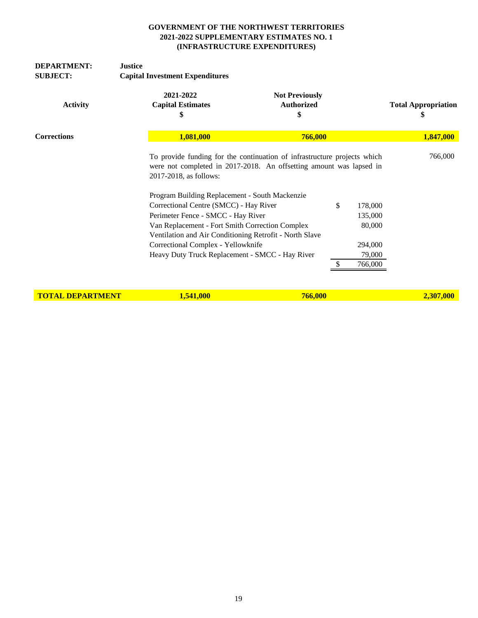| <b>DEPARTMENT:</b><br><b>SUBJECT:</b>                               | <b>Justice</b><br><b>Capital Investment Expenditures</b>                                  |                                                                                                                                                 |    |           |                                  |
|---------------------------------------------------------------------|-------------------------------------------------------------------------------------------|-------------------------------------------------------------------------------------------------------------------------------------------------|----|-----------|----------------------------------|
| <b>Activity</b>                                                     | 2021-2022<br><b>Capital Estimates</b><br>\$                                               | <b>Not Previously</b><br><b>Authorized</b><br>\$                                                                                                |    |           | <b>Total Appropriation</b><br>\$ |
| <b>Corrections</b>                                                  | 1,081,000                                                                                 | 766,000                                                                                                                                         |    | 1,847,000 |                                  |
|                                                                     | 2017-2018, as follows:                                                                    | To provide funding for the continuation of infrastructure projects which<br>were not completed in 2017-2018. An offsetting amount was lapsed in |    |           | 766,000                          |
|                                                                     |                                                                                           | Program Building Replacement - South Mackenzie                                                                                                  |    |           |                                  |
|                                                                     | Correctional Centre (SMCC) - Hay River                                                    |                                                                                                                                                 | \$ | 178,000   |                                  |
|                                                                     | Perimeter Fence - SMCC - Hay River                                                        |                                                                                                                                                 |    | 135,000   |                                  |
|                                                                     |                                                                                           | Van Replacement - Fort Smith Correction Complex                                                                                                 |    | 80,000    |                                  |
|                                                                     | Correctional Complex - Yellowknife                                                        | Ventilation and Air Conditioning Retrofit - North Slave                                                                                         |    | 294,000   |                                  |
|                                                                     |                                                                                           | Heavy Duty Truck Replacement - SMCC - Hay River                                                                                                 |    | 79,000    |                                  |
|                                                                     |                                                                                           |                                                                                                                                                 |    | 766,000   |                                  |
| $m \wedge m + r$ , $m \wedge m \wedge m \wedge m \wedge m \wedge m$ | $\overline{A}$ $\overline{B}$ $\overline{A}$ $\overline{A}$ $\overline{A}$ $\overline{A}$ | $\blacksquare$                                                                                                                                  |    |           | 200000                           |

**TOTAL DEPARTMENT 1,541,000 2,307,000 2,307,000 2,307,000**